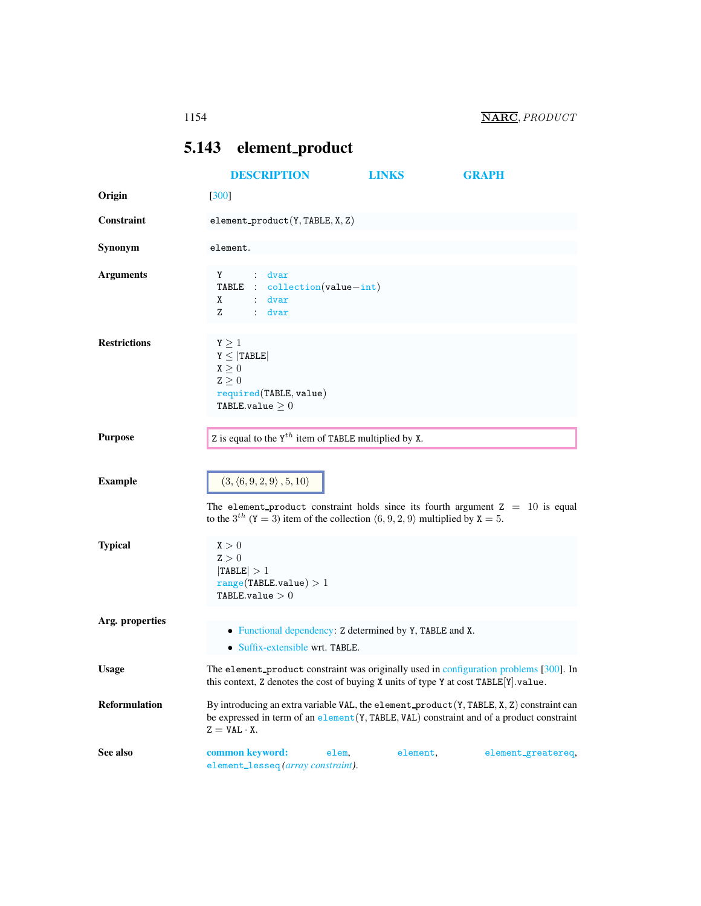## <span id="page-0-0"></span>5.143 element product

<span id="page-0-1"></span>

|                      | <b>DESCRIPTION</b>                                                                                                                                                                                                        | <b>LINKS</b> | <b>GRAPH</b>       |  |
|----------------------|---------------------------------------------------------------------------------------------------------------------------------------------------------------------------------------------------------------------------|--------------|--------------------|--|
| Origin               | $[300]$                                                                                                                                                                                                                   |              |                    |  |
| Constraint           | element_product( $Y, TABLE, X, Z$ )                                                                                                                                                                                       |              |                    |  |
| Synonym              | element.                                                                                                                                                                                                                  |              |                    |  |
| <b>Arguments</b>     | Y : dvar<br>TABLE : collection(value-int)<br>: dvar<br>X<br>Z.<br>$:$ dvar                                                                                                                                                |              |                    |  |
| <b>Restrictions</b>  | $Y \geq 1$<br>$Y \leq  TABLE $<br>$\mathtt{X}\geq 0$<br>$Z \geq 0$<br>required(TABLE, value)<br>TABLE.value $\geq 0$                                                                                                      |              |                    |  |
| <b>Purpose</b>       | Z is equal to the $Y^{th}$ item of TABLE multiplied by X.                                                                                                                                                                 |              |                    |  |
| <b>Example</b>       | $(3, \langle 6, 9, 2, 9 \rangle, 5, 10)$<br>The element-product constraint holds since its fourth argument $Z = 10$ is equal<br>to the 3 <sup>th</sup> (Y = 3) item of the collection $(6, 9, 2, 9)$ multiplied by X = 5. |              |                    |  |
| <b>Typical</b>       | X > 0<br>Z > 0<br> TABLE  > 1<br>range(TABLE.value) > 1<br>TABLE.value $>0$                                                                                                                                               |              |                    |  |
| Arg. properties      | • Functional dependency: Z determined by Y, TABLE and X.<br>• Suffix-extensible wrt. TABLE.                                                                                                                               |              |                    |  |
| <b>Usage</b>         | The element_product constraint was originally used in configuration problems [300]. In<br>this context, Z denotes the cost of buying X units of type Y at cost TABLE[Y].value.                                            |              |                    |  |
| <b>Reformulation</b> | By introducing an extra variable VAL, the element_product $(Y, TABLE, X, Z)$ constraint can<br>be expressed in term of an element (Y, TABLE, VAL) constraint and of a product constraint<br>$Z = VAL \cdot X$ .           |              |                    |  |
| See also             | common keyword:<br>elem,<br>element_lesseq(array constraint).                                                                                                                                                             | element,     | element_greatereq, |  |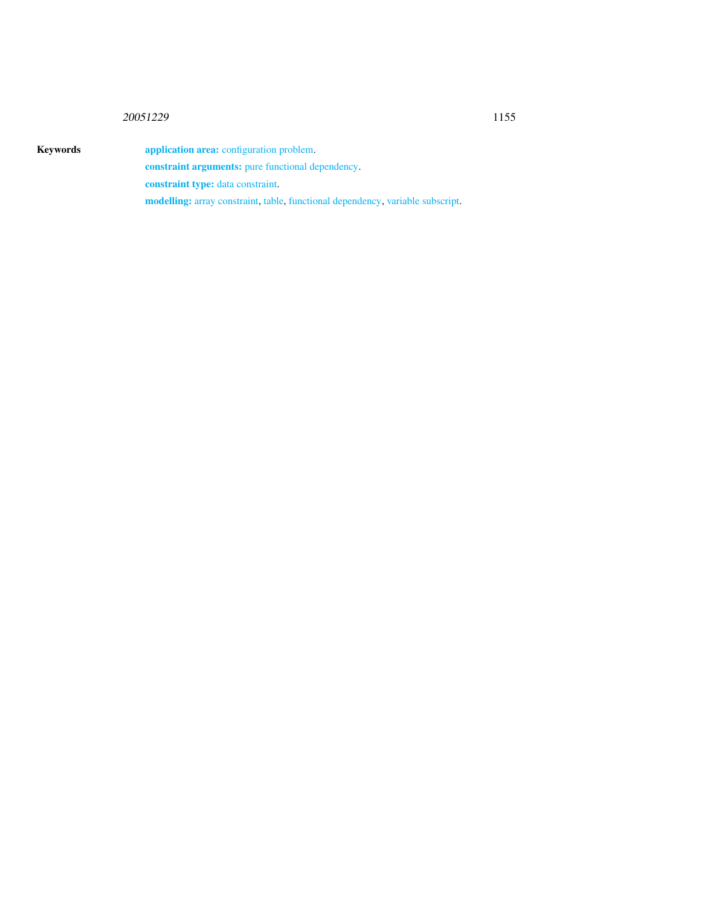## 20051229 1155

Keywords **application area:** configuration problem. constraint arguments: pure functional dependency. constraint type: data constraint.

modelling: array constraint, table, functional dependency, variable subscript.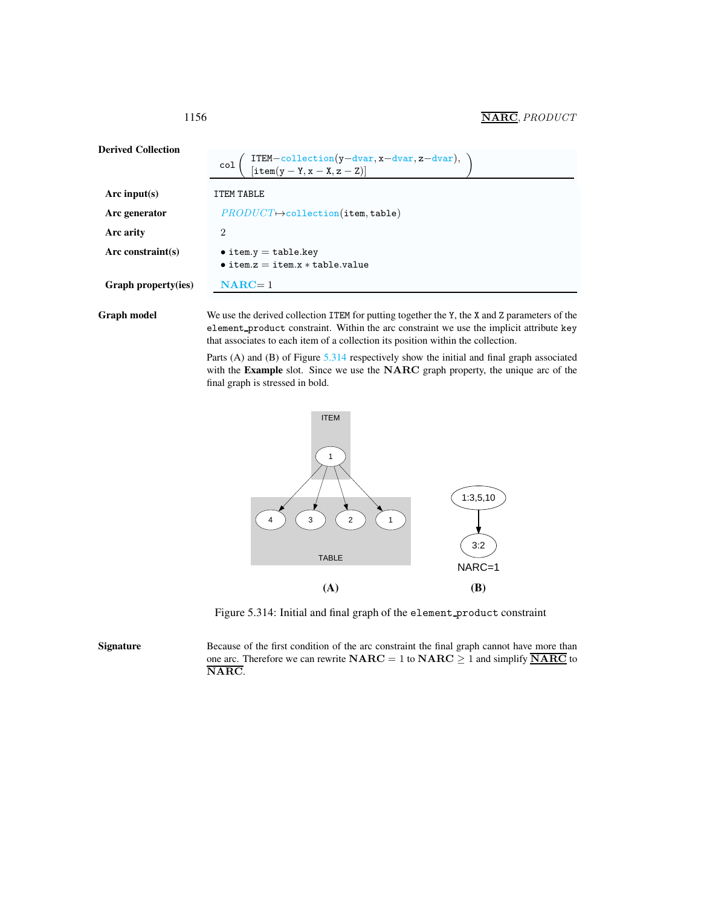1156 **NARC**, *PRODUCT* 

| <b>Derived Collection</b> | ITEM-collection(y-dvar, x-dvar, z-dvar),<br>[item(y-Y, x - X, z - Z)]<br>col  |
|---------------------------|-------------------------------------------------------------------------------|
| Arc input(s)              | <b>ITEM TABLE</b>                                                             |
| Arc generator             | $PRODUCT \rightarrow collection (item, table)$                                |
| Arc arity                 | $\overline{2}$                                                                |
| Arc constraint $(s)$      | $\bullet$ item.y = table.key<br>$\bullet$ item. $z =$ item. $x *$ table.value |
| Graph property(ies)       | $NARC = 1$                                                                    |
|                           |                                                                               |

Graph model We use the derived collection ITEM for putting together the Y, the X and Z parameters of the element product constraint. Within the arc constraint we use the implicit attribute key that associates to each item of a collection its position within the collection.

> Parts (A) and (B) of Figure [5.314](#page-2-1) respectively show the initial and final graph associated with the Example slot. Since we use the NARC graph property, the unique arc of the final graph is stressed in bold.



<span id="page-2-1"></span>Figure 5.314: Initial and final graph of the element product constraint

Signature Because of the first condition of the arc constraint the final graph cannot have more than one arc. Therefore we can rewrite  $NARC = 1$  to  $NARC \ge 1$  and simplify  $\overline{NARC}$  to NARC.

<span id="page-2-0"></span>